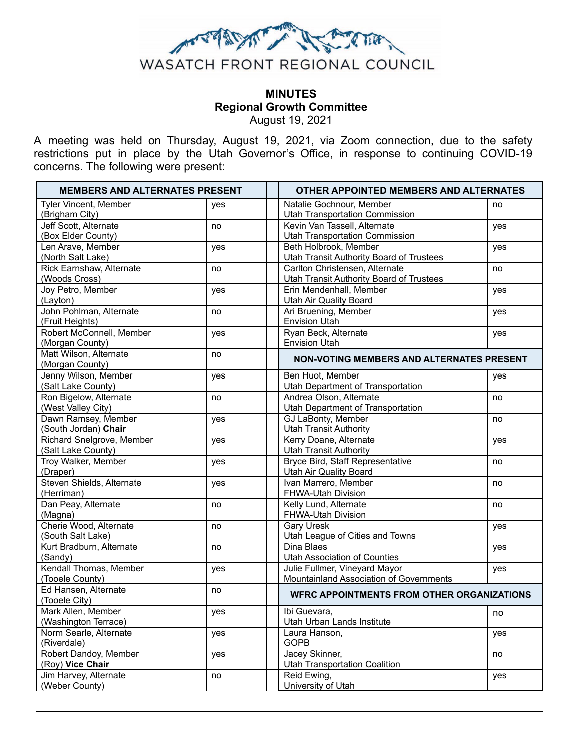

# **MINUTES Regional Growth Committee** August 19, 2021

A meeting was held on Thursday, August 19, 2021, via Zoom connection, due to the safety restrictions put in place by the Utah Governor's Office, in response to continuing COVID-19 concerns. The following were present:

| <b>MEMBERS AND ALTERNATES PRESENT</b>           |     | <b>OTHER APPOINTED MEMBERS AND ALTERNATES</b>                                     |     |
|-------------------------------------------------|-----|-----------------------------------------------------------------------------------|-----|
| Tyler Vincent, Member<br>(Brigham City)         | yes | Natalie Gochnour, Member<br><b>Utah Transportation Commission</b>                 | no  |
| Jeff Scott, Alternate<br>(Box Elder County)     | no  | Kevin Van Tassell, Alternate<br><b>Utah Transportation Commission</b>             | yes |
| Len Arave, Member                               | yes | Beth Holbrook, Member                                                             | yes |
| (North Salt Lake)<br>Rick Earnshaw, Alternate   | no  | <b>Utah Transit Authority Board of Trustees</b><br>Carlton Christensen, Alternate | no  |
| (Woods Cross)                                   |     | <b>Utah Transit Authority Board of Trustees</b>                                   |     |
| Joy Petro, Member<br>(Layton)                   | yes | Erin Mendenhall, Member<br><b>Utah Air Quality Board</b>                          | yes |
| John Pohlman, Alternate<br>(Fruit Heights)      | no  | Ari Bruening, Member<br><b>Envision Utah</b>                                      | yes |
| Robert McConnell, Member<br>(Morgan County)     | yes | Ryan Beck, Alternate<br><b>Envision Utah</b>                                      | yes |
| Matt Wilson, Alternate<br>(Morgan County)       | no  | <b>NON-VOTING MEMBERS AND ALTERNATES PRESENT</b>                                  |     |
| Jenny Wilson, Member<br>(Salt Lake County)      | yes | Ben Huot, Member<br><b>Utah Department of Transportation</b>                      | yes |
| Ron Bigelow, Alternate<br>(West Valley City)    | no  | Andrea Olson, Alternate<br>Utah Department of Transportation                      | no  |
| Dawn Ramsey, Member<br>(South Jordan) Chair     | yes | GJ LaBonty, Member<br><b>Utah Transit Authority</b>                               | no  |
| Richard Snelgrove, Member<br>(Salt Lake County) | yes | Kerry Doane, Alternate<br><b>Utah Transit Authority</b>                           | yes |
| Troy Walker, Member<br>(Draper)                 | yes | Bryce Bird, Staff Representative<br><b>Utah Air Quality Board</b>                 | no  |
| Steven Shields, Alternate<br>(Herriman)         | yes | Ivan Marrero, Member<br>FHWA-Utah Division                                        | no  |
| Dan Peay, Alternate<br>(Magna)                  | no  | Kelly Lund, Alternate<br>FHWA-Utah Division                                       | no  |
| Cherie Wood, Alternate<br>(South Salt Lake)     | no  | <b>Gary Uresk</b><br>Utah League of Cities and Towns                              | yes |
| Kurt Bradburn, Alternate<br>(Sandy)             | no  | Dina Blaes<br><b>Utah Association of Counties</b>                                 | yes |
| Kendall Thomas, Member<br>(Tooele County)       | yes | Julie Fullmer, Vineyard Mayor<br>Mountainland Association of Governments          | yes |
| Ed Hansen, Alternate<br>(Tooele City)           | no  | <b>WFRC APPOINTMENTS FROM OTHER ORGANIZATIONS</b>                                 |     |
| Mark Allen, Member                              | yes | Ibi Guevara,                                                                      | no  |
| (Washington Terrace)<br>Norm Searle, Alternate  | yes | Utah Urban Lands Institute<br>Laura Hanson,                                       | yes |
| (Riverdale)<br>Robert Dandoy, Member            | yes | <b>GOPB</b><br>Jacey Skinner,                                                     | no  |
| (Roy) Vice Chair<br>Jim Harvey, Alternate       | no  | <b>Utah Transportation Coalition</b><br>Reid Ewing,                               | yes |
| (Weber County)                                  |     | University of Utah                                                                |     |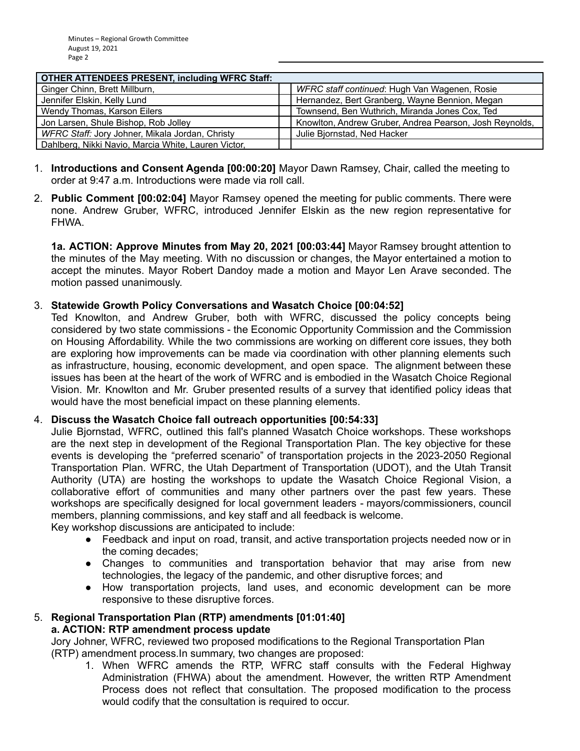| <b>OTHER ATTENDEES PRESENT, including WFRC Staff:</b> |                                                         |  |  |  |
|-------------------------------------------------------|---------------------------------------------------------|--|--|--|
| Ginger Chinn, Brett Millburn,                         | WFRC staff continued: Hugh Van Wagenen, Rosie           |  |  |  |
| Jennifer Elskin, Kelly Lund                           | Hernandez, Bert Granberg, Wayne Bennion, Megan          |  |  |  |
| Wendy Thomas, Karson Eilers                           | Townsend, Ben Wuthrich, Miranda Jones Cox, Ted          |  |  |  |
| Jon Larsen, Shule Bishop, Rob Jolley                  | Knowlton, Andrew Gruber, Andrea Pearson, Josh Reynolds, |  |  |  |
| WFRC Staff: Jory Johner, Mikala Jordan, Christy       | Julie Bjornstad, Ned Hacker                             |  |  |  |
| Dahlberg, Nikki Navio, Marcia White, Lauren Victor,   |                                                         |  |  |  |

- 1. **Introductions and Consent Agenda [00:00:20]** Mayor Dawn Ramsey, Chair, called the meeting to order at 9:47 a.m. Introductions were made via roll call.
- 2. **Public Comment [00:02:04]** Mayor Ramsey opened the meeting for public comments. There were none. Andrew Gruber, WFRC, introduced Jennifer Elskin as the new region representative for FHWA.

**1a. ACTION: Approve Minutes from May 20, 2021 [00:03:44]** Mayor Ramsey brought attention to the minutes of the May meeting. With no discussion or changes, the Mayor entertained a motion to accept the minutes. Mayor Robert Dandoy made a motion and Mayor Len Arave seconded. The motion passed unanimously.

## 3. **Statewide Growth Policy Conversations and Wasatch Choice [00:04:52]**

Ted Knowlton, and Andrew Gruber, both with WFRC, discussed the policy concepts being considered by two state commissions - the Economic Opportunity Commission and the Commission on Housing Affordability. While the two commissions are working on different core issues, they both are exploring how improvements can be made via coordination with other planning elements such as infrastructure, housing, economic development, and open space. The alignment between these issues has been at the heart of the work of WFRC and is embodied in the Wasatch Choice Regional Vision. Mr. Knowlton and Mr. Gruber presented results of a survey that identified policy ideas that would have the most beneficial impact on these planning elements.

## 4. **Discuss the Wasatch Choice fall outreach opportunities [00:54:33]**

Julie Bjornstad, WFRC, outlined this fall's planned Wasatch Choice workshops. These workshops are the next step in development of the Regional Transportation Plan. The key objective for these events is developing the "preferred scenario" of transportation projects in the 2023-2050 Regional Transportation Plan. WFRC, the Utah Department of Transportation (UDOT), and the Utah Transit Authority (UTA) are hosting the workshops to update the Wasatch Choice Regional Vision, a collaborative effort of communities and many other partners over the past few years. These workshops are specifically designed for local government leaders - mayors/commissioners, council members, planning commissions, and key staff and all feedback is welcome.

Key workshop discussions are anticipated to include:

- Feedback and input on road, transit, and active transportation projects needed now or in the coming decades;
- Changes to communities and transportation behavior that may arise from new technologies, the legacy of the pandemic, and other disruptive forces; and
- How transportation projects, land uses, and economic development can be more responsive to these disruptive forces.

#### 5. **Regional Transportation Plan (RTP) amendments [01:01:40] a. ACTION: RTP amendment process update**

Jory Johner, WFRC, reviewed two proposed modifications to the Regional Transportation Plan (RTP) amendment process.In summary, two changes are proposed:

1. When WFRC amends the RTP, WFRC staff consults with the Federal Highway Administration (FHWA) about the amendment. However, the written RTP Amendment Process does not reflect that consultation. The proposed modification to the process would codify that the consultation is required to occur.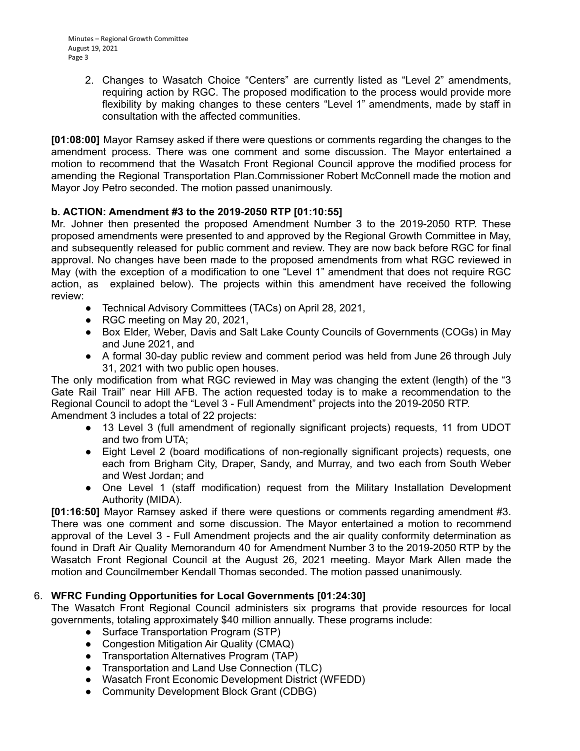2. Changes to Wasatch Choice "Centers" are currently listed as "Level 2" amendments, requiring action by RGC. The proposed modification to the process would provide more flexibility by making changes to these centers "Level 1" amendments, made by staff in consultation with the affected communities.

**[01:08:00]** Mayor Ramsey asked if there were questions or comments regarding the changes to the amendment process. There was one comment and some discussion. The Mayor entertained a motion to recommend that the Wasatch Front Regional Council approve the modified process for amending the Regional Transportation Plan.Commissioner Robert McConnell made the motion and Mayor Joy Petro seconded. The motion passed unanimously.

# **b. ACTION: Amendment #3 to the 2019-2050 RTP [01:10:55]**

Mr. Johner then presented the proposed Amendment Number 3 to the 2019-2050 RTP. These proposed amendments were presented to and approved by the Regional Growth Committee in May, and subsequently released for public comment and review. They are now back before RGC for final approval. No changes have been made to the proposed amendments from what RGC reviewed in May (with the exception of a modification to one "Level 1" amendment that does not require RGC action, as explained below). The projects within this amendment have received the following review:

- Technical Advisory Committees (TACs) on April 28, 2021,
- RGC meeting on May 20, 2021.
- Box Elder, Weber, Davis and Salt Lake County Councils of Governments (COGs) in May and June 2021, and
- A formal 30-day public review and comment period was held from June 26 through July 31, 2021 with two public open houses.

The only modification from what RGC reviewed in May was changing the extent (length) of the "3 Gate Rail Trail" near Hill AFB. The action requested today is to make a recommendation to the Regional Council to adopt the "Level 3 - Full Amendment" projects into the 2019-2050 RTP. Amendment 3 includes a total of 22 projects:

- 13 Level 3 (full amendment of regionally significant projects) requests, 11 from UDOT and two from UTA;
- Eight Level 2 (board modifications of non-regionally significant projects) requests, one each from Brigham City, Draper, Sandy, and Murray, and two each from South Weber and West Jordan; and
- One Level 1 (staff modification) request from the Military Installation Development Authority (MIDA).

**[01:16:50]** Mayor Ramsey asked if there were questions or comments regarding amendment #3. There was one comment and some discussion. The Mayor entertained a motion to recommend approval of the Level 3 - Full Amendment projects and the air quality conformity determination as found in Draft Air Quality Memorandum 40 for Amendment Number 3 to the 2019-2050 RTP by the Wasatch Front Regional Council at the August 26, 2021 meeting. Mayor Mark Allen made the motion and Councilmember Kendall Thomas seconded. The motion passed unanimously.

## 6. **WFRC Funding Opportunities for Local Governments [01:24:30]**

The Wasatch Front Regional Council administers six programs that provide resources for local governments, totaling approximately \$40 million annually. These programs include:

- Surface Transportation Program (STP)
- Congestion Mitigation Air Quality (CMAQ)
- Transportation Alternatives Program (TAP)
- Transportation and Land Use Connection (TLC)
- Wasatch Front Economic Development District (WFEDD)
- Community Development Block Grant (CDBG)